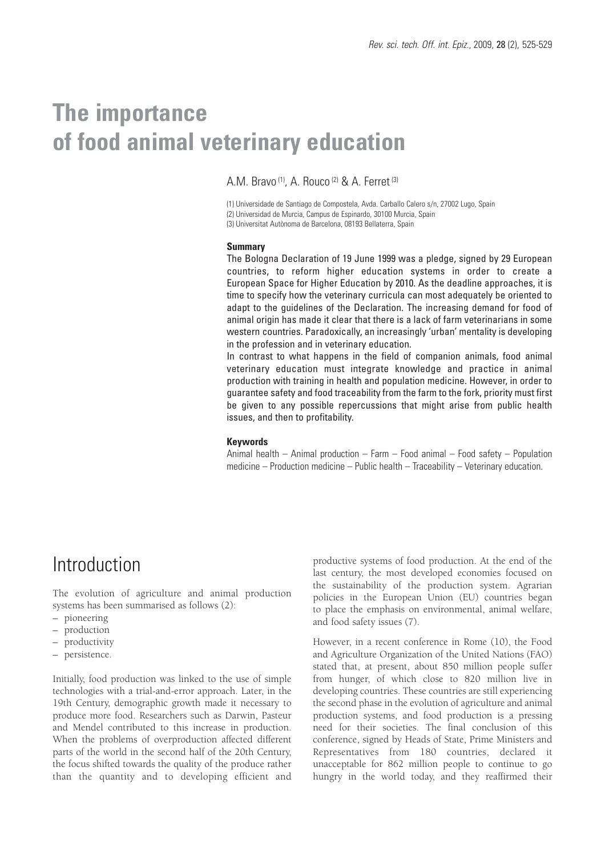# **The importance of food animal veterinary education**

A.M. Bravo<sup>(1)</sup>, A. Rouco<sup>(2)</sup> & A. Ferret<sup>(3)</sup>

(1) Universidade de Santiago de Compostela, Avda. Carballo Calero s/n, 27002 Lugo, Spain (2) Universidad de Murcia, Campus de Espinardo, 30100 Murcia, Spain (3) Universitat Autònoma de Barcelona, 08193 Bellaterra, Spain

#### **Summary**

The Bologna Declaration of 19 June 1999 was a pledge, signed by 29 European countries, to reform higher education systems in order to create a European Space for Higher Education by 2010. As the deadline approaches, it is time to specify how the veterinary curricula can most adequately be oriented to adapt to the guidelines of the Declaration. The increasing demand for food of animal origin has made it clear that there is a lack of farm veterinarians in some western countries. Paradoxically, an increasingly 'urban' mentality is developing in the profession and in veterinary education.

In contrast to what happens in the field of companion animals, food animal veterinary education must integrate knowledge and practice in animal production with training in health and population medicine. However, in order to guarantee safety and food traceability from the farm to the fork, priority must first be given to any possible repercussions that might arise from public health issues, and then to profitability.

### **Keywords**

Animal health – Animal production – Farm – Food animal – Food safety – Population medicine – Production medicine – Public health – Traceability – Veterinary education.

### Introduction

The evolution of agriculture and animal production systems has been summarised as follows (2):

- pioneering
- production
- productivity
- persistence.

Initially, food production was linked to the use of simple technologies with a trial-and-error approach. Later, in the 19th Century, demographic growth made it necessary to produce more food. Researchers such as Darwin, Pasteur and Mendel contributed to this increase in production. When the problems of overproduction affected different parts of the world in the second half of the 20th Century, the focus shifted towards the quality of the produce rather than the quantity and to developing efficient and productive systems of food production. At the end of the last century, the most developed economies focused on the sustainability of the production system. Agrarian policies in the European Union (EU) countries began to place the emphasis on environmental, animal welfare, and food safety issues (7).

However, in a recent conference in Rome (10), the Food and Agriculture Organization of the United Nations (FAO) stated that, at present, about 850 million people suffer from hunger, of which close to 820 million live in developing countries. These countries are still experiencing the second phase in the evolution of agriculture and animal production systems, and food production is a pressing need for their societies. The final conclusion of this conference, signed by Heads of State, Prime Ministers and Representatives from 180 countries, declared it unacceptable for 862 million people to continue to go hungry in the world today, and they reaffirmed their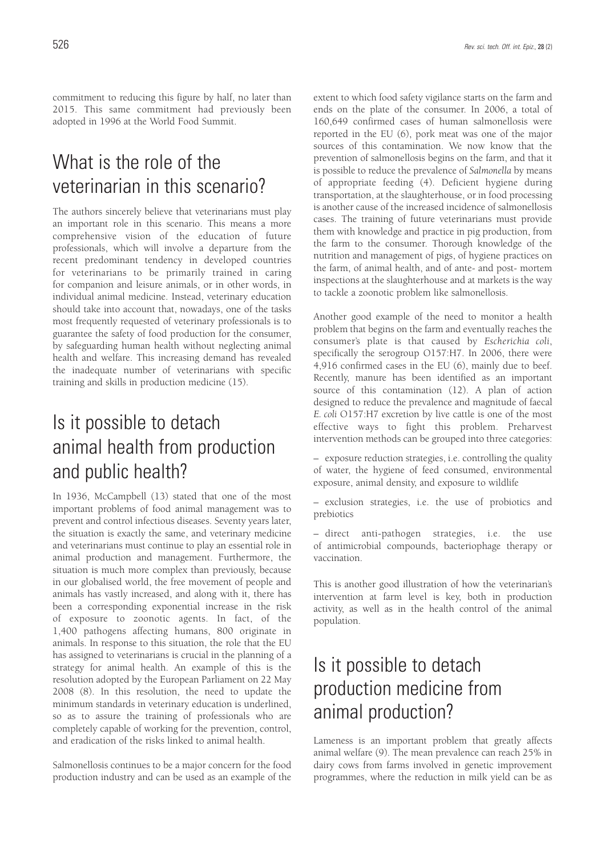commitment to reducing this figure by half, no later than 2015. This same commitment had previously been adopted in 1996 at the World Food Summit.

# What is the role of the veterinarian in this scenario?

The authors sincerely believe that veterinarians must play an important role in this scenario. This means a more comprehensive vision of the education of future professionals, which will involve a departure from the recent predominant tendency in developed countries for veterinarians to be primarily trained in caring for companion and leisure animals, or in other words, in individual animal medicine. Instead, veterinary education should take into account that, nowadays, one of the tasks most frequently requested of veterinary professionals is to guarantee the safety of food production for the consumer, by safeguarding human health without neglecting animal health and welfare. This increasing demand has revealed the inadequate number of veterinarians with specific training and skills in production medicine (15).

# Is it possible to detach animal health from production and public health?

In 1936, McCampbell (13) stated that one of the most important problems of food animal management was to prevent and control infectious diseases. Seventy years later, the situation is exactly the same, and veterinary medicine and veterinarians must continue to play an essential role in animal production and management. Furthermore, the situation is much more complex than previously, because in our globalised world, the free movement of people and animals has vastly increased, and along with it, there has been a corresponding exponential increase in the risk of exposure to zoonotic agents. In fact, of the 1,400 pathogens affecting humans, 800 originate in animals. In response to this situation, the role that the EU has assigned to veterinarians is crucial in the planning of a strategy for animal health. An example of this is the resolution adopted by the European Parliament on 22 May 2008 (8). In this resolution, the need to update the minimum standards in veterinary education is underlined, so as to assure the training of professionals who are completely capable of working for the prevention, control, and eradication of the risks linked to animal health.

Salmonellosis continues to be a major concern for the food production industry and can be used as an example of the extent to which food safety vigilance starts on the farm and ends on the plate of the consumer. In 2006, a total of 160,649 confirmed cases of human salmonellosis were reported in the EU (6), pork meat was one of the major sources of this contamination. We now know that the prevention of salmonellosis begins on the farm, and that it is possible to reduce the prevalence of *Salmonella* by means of appropriate feeding (4). Deficient hygiene during transportation, at the slaughterhouse, or in food processing is another cause of the increased incidence of salmonellosis cases. The training of future veterinarians must provide them with knowledge and practice in pig production, from the farm to the consumer. Thorough knowledge of the nutrition and management of pigs, of hygiene practices on the farm, of animal health, and of ante- and post- mortem inspections at the slaughterhouse and at markets is the way to tackle a zoonotic problem like salmonellosis.

Another good example of the need to monitor a health problem that begins on the farm and eventually reaches the consumer's plate is that caused by *Escherichia coli*, specifically the serogroup O157:H7. In 2006, there were 4,916 confirmed cases in the EU (6), mainly due to beef. Recently, manure has been identified as an important source of this contamination (12). A plan of action designed to reduce the prevalence and magnitude of faecal *E. coli* O157:H7 excretion by live cattle is one of the most effective ways to fight this problem. Preharvest intervention methods can be grouped into three categories:

– exposure reduction strategies, i.e. controlling the quality of water, the hygiene of feed consumed, environmental exposure, animal density, and exposure to wildlife

– exclusion strategies, i.e. the use of probiotics and prebiotics

– direct anti-pathogen strategies, i.e. the use of antimicrobial compounds, bacteriophage therapy or vaccination.

This is another good illustration of how the veterinarian's intervention at farm level is key, both in production activity, as well as in the health control of the animal population.

# Is it possible to detach production medicine from animal production?

Lameness is an important problem that greatly affects animal welfare (9). The mean prevalence can reach 25% in dairy cows from farms involved in genetic improvement programmes, where the reduction in milk yield can be as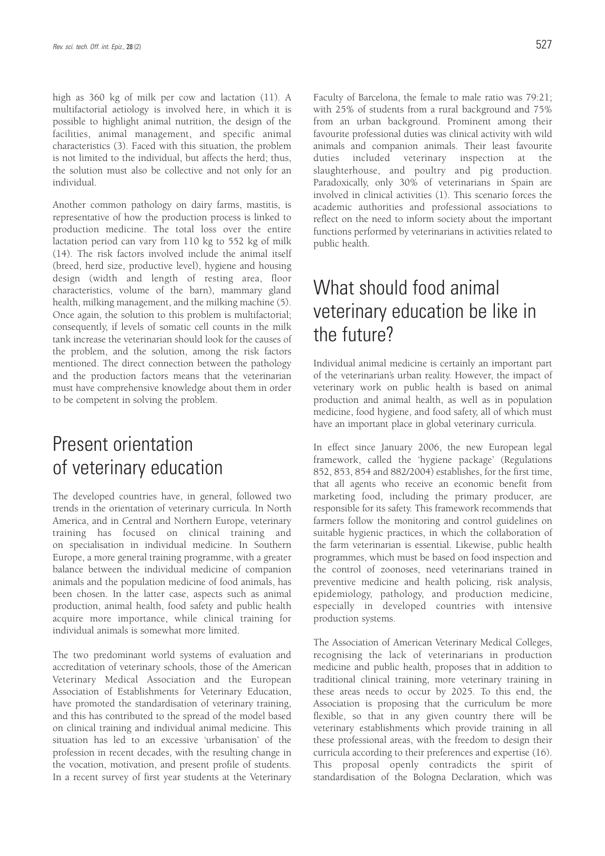high as 360 kg of milk per cow and lactation (11). A multifactorial aetiology is involved here, in which it is possible to highlight animal nutrition, the design of the facilities, animal management, and specific animal characteristics (3). Faced with this situation, the problem is not limited to the individual, but affects the herd; thus, the solution must also be collective and not only for an individual.

Another common pathology on dairy farms, mastitis, is representative of how the production process is linked to production medicine. The total loss over the entire lactation period can vary from 110 kg to 552 kg of milk (14). The risk factors involved include the animal itself (breed, herd size, productive level), hygiene and housing design (width and length of resting area, floor characteristics, volume of the barn), mammary gland health, milking management, and the milking machine (5). Once again, the solution to this problem is multifactorial; consequently, if levels of somatic cell counts in the milk tank increase the veterinarian should look for the causes of the problem, and the solution, among the risk factors mentioned. The direct connection between the pathology and the production factors means that the veterinarian must have comprehensive knowledge about them in order to be competent in solving the problem.

## Present orientation of veterinary education

The developed countries have, in general, followed two trends in the orientation of veterinary curricula. In North America, and in Central and Northern Europe, veterinary training has focused on clinical training and on specialisation in individual medicine. In Southern Europe, a more general training programme, with a greater balance between the individual medicine of companion animals and the population medicine of food animals, has been chosen. In the latter case, aspects such as animal production, animal health, food safety and public health acquire more importance, while clinical training for individual animals is somewhat more limited.

The two predominant world systems of evaluation and accreditation of veterinary schools, those of the American Veterinary Medical Association and the European Association of Establishments for Veterinary Education, have promoted the standardisation of veterinary training, and this has contributed to the spread of the model based on clinical training and individual animal medicine. This situation has led to an excessive 'urbanisation' of the profession in recent decades, with the resulting change in the vocation, motivation, and present profile of students. In a recent survey of first year students at the Veterinary

Faculty of Barcelona, the female to male ratio was 79:21; with 25% of students from a rural background and 75% from an urban background. Prominent among their favourite professional duties was clinical activity with wild animals and companion animals. Their least favourite duties included veterinary inspection at the slaughterhouse, and poultry and pig production. Paradoxically, only 30% of veterinarians in Spain are involved in clinical activities (1). This scenario forces the academic authorities and professional associations to reflect on the need to inform society about the important functions performed by veterinarians in activities related to public health.

# What should food animal veterinary education be like in the future?

Individual animal medicine is certainly an important part of the veterinarian's urban reality. However, the impact of veterinary work on public health is based on animal production and animal health, as well as in population medicine, food hygiene, and food safety, all of which must have an important place in global veterinary curricula.

In effect since January 2006, the new European legal framework, called the 'hygiene package' (Regulations 852, 853, 854 and 882/2004) establishes, for the first time, that all agents who receive an economic benefit from marketing food, including the primary producer, are responsible for its safety. This framework recommends that farmers follow the monitoring and control guidelines on suitable hygienic practices, in which the collaboration of the farm veterinarian is essential. Likewise, public health programmes, which must be based on food inspection and the control of zoonoses, need veterinarians trained in preventive medicine and health policing, risk analysis, epidemiology, pathology, and production medicine, especially in developed countries with intensive production systems.

The Association of American Veterinary Medical Colleges, recognising the lack of veterinarians in production medicine and public health, proposes that in addition to traditional clinical training, more veterinary training in these areas needs to occur by 2025. To this end, the Association is proposing that the curriculum be more flexible, so that in any given country there will be veterinary establishments which provide training in all these professional areas, with the freedom to design their curricula according to their preferences and expertise (16). This proposal openly contradicts the spirit of standardisation of the Bologna Declaration, which was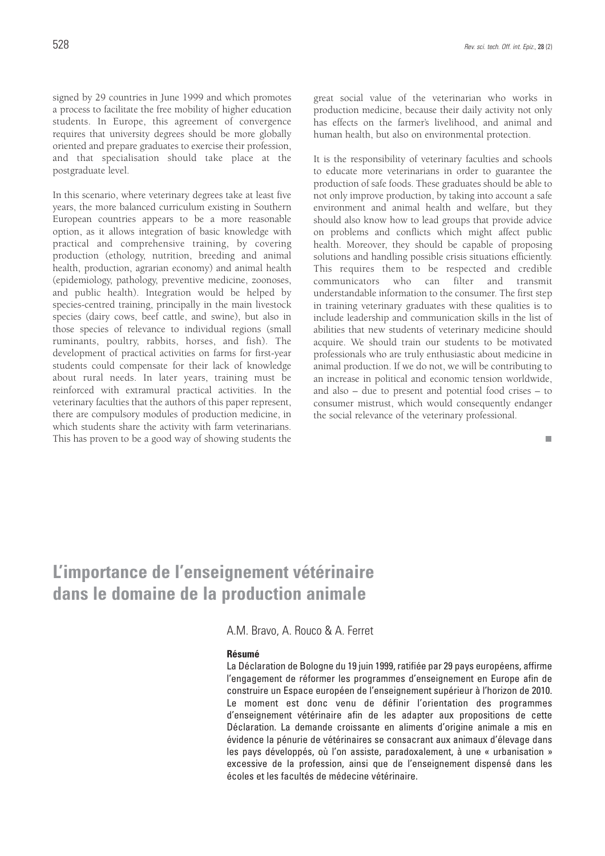signed by 29 countries in June 1999 and which promotes a process to facilitate the free mobility of higher education students. In Europe, this agreement of convergence requires that university degrees should be more globally oriented and prepare graduates to exercise their profession, and that specialisation should take place at the postgraduate level.

In this scenario, where veterinary degrees take at least five years, the more balanced curriculum existing in Southern European countries appears to be a more reasonable option, as it allows integration of basic knowledge with practical and comprehensive training, by covering production (ethology, nutrition, breeding and animal health, production, agrarian economy) and animal health (epidemiology, pathology, preventive medicine, zoonoses, and public health). Integration would be helped by species-centred training, principally in the main livestock species (dairy cows, beef cattle, and swine), but also in those species of relevance to individual regions (small ruminants, poultry, rabbits, horses, and fish). The development of practical activities on farms for first-year students could compensate for their lack of knowledge about rural needs. In later years, training must be reinforced with extramural practical activities. In the veterinary faculties that the authors of this paper represent, there are compulsory modules of production medicine, in which students share the activity with farm veterinarians. This has proven to be a good way of showing students the

 $\overline{\phantom{a}}$ 

great social value of the veterinarian who works in production medicine, because their daily activity not only has effects on the farmer's livelihood, and animal and human health, but also on environmental protection.

It is the responsibility of veterinary faculties and schools to educate more veterinarians in order to guarantee the production of safe foods. These graduates should be able to not only improve production, by taking into account a safe environment and animal health and welfare, but they should also know how to lead groups that provide advice on problems and conflicts which might affect public health. Moreover, they should be capable of proposing solutions and handling possible crisis situations efficiently. This requires them to be respected and credible communicators who can filter and transmit understandable information to the consumer. The first step in training veterinary graduates with these qualities is to include leadership and communication skills in the list of abilities that new students of veterinary medicine should acquire. We should train our students to be motivated professionals who are truly enthusiastic about medicine in animal production. If we do not, we will be contributing to an increase in political and economic tension worldwide, and also – due to present and potential food crises – to consumer mistrust, which would consequently endanger the social relevance of the veterinary professional.

### **L'importance de l'enseignement vétérinaire dans le domaine de la production animale**

### A.M. Bravo, A. Rouco & A. Ferret

### **Résumé**

La Déclaration de Bologne du 19 juin 1999, ratifiée par 29 pays européens, affirme l'engagement de réformer les programmes d'enseignement en Europe afin de construire un Espace européen de l'enseignement supérieur à l'horizon de 2010. Le moment est donc venu de définir l'orientation des programmes d'enseignement vétérinaire afin de les adapter aux propositions de cette Déclaration. La demande croissante en aliments d'origine animale a mis en évidence la pénurie de vétérinaires se consacrant aux animaux d'élevage dans les pays développés, où l'on assiste, paradoxalement, à une « urbanisation » excessive de la profession, ainsi que de l'enseignement dispensé dans les écoles et les facultés de médecine vétérinaire.